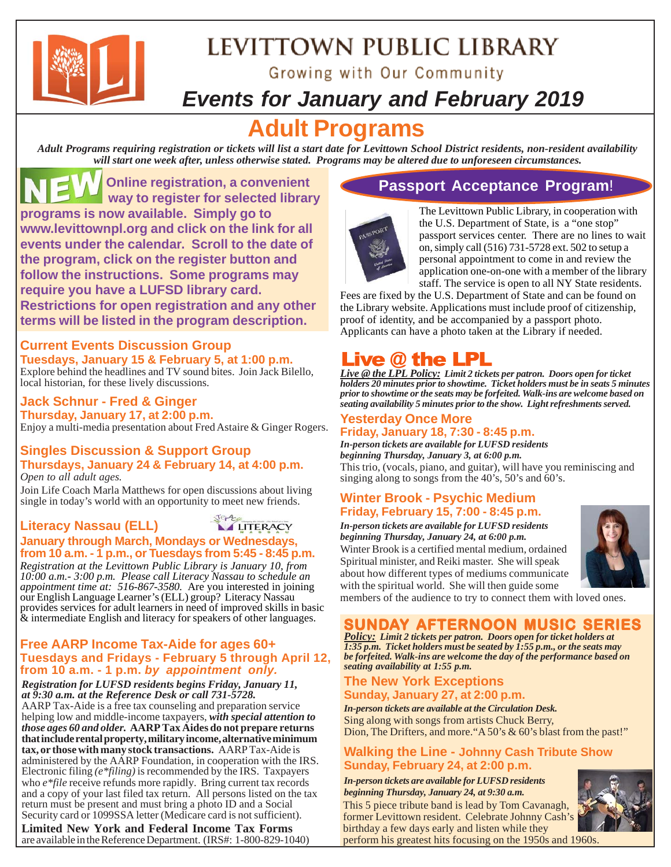

## LEVITTOWN PUBLIC LIBRARY

Growing with Our Community

### *Events for January and February 2019*

### **Adult Programs**

*Adult Programs requiring registration or tickets will list a start date for Levittown School District residents, non-resident availability will start one week after, unless otherwise stated. Programs may be altered due to unforeseen circumstances.*

 **Online registration, a convenient way to register for selected library programs is now available. Simply go to www.levittownpl.org and click on the link for all events under the calendar. Scroll to the date of the program, click on the register button and follow the instructions. Some programs may require you have a LUFSD library card. Restrictions for open registration and any other terms will be listed in the program description.**

#### **Current Events Discussion Group Tuesdays, January 15 & February 5, at 1:00 p.m.**

Explore behind the headlines and TV sound bites. Join Jack Bilello, local historian, for these lively discussions.

**Jack Schnur - Fred & Ginger Thursday, January 17, at 2:00 p.m.** Enjoy a multi-media presentation about Fred Astaire & Ginger Rogers.

### **Singles Discussion & Support Group Thursdays, January 24 & February 14, at 4:00 p.m.**

Join Life Coach Marla Matthews for open discussions about living *Open to all adult ages.*

single in today's world with an opportunity to meet new friends.

#### **Literacy Nassau (ELL) LITERACY January through March, Mondays or Wednesdays, from 10 a.m. - 1 p.m., or Tuesdays from 5:45 - 8:45 p.m.**

*Registration at the Levittown Public Library is January 10, from 10:00 a.m.- 3:00 p.m. Please call Literacy Nassau to schedule an appointment time at: 516-867-3580.* Are you interested in joining our English Language Learner's (ELL) group? Literacy Nassau provides services for adult learners in need of improved skills in basic  $\&$  intermediate English and literacy for speakers of other languages.

#### **Free AARP Income Tax-Aide for ages 60+ Tuesdays and Fridays - February 5 through April 12, from 10 a.m. - 1 p.m.** *by appointment only.*

*Registration for LUFSD residents begins Friday, January 11, at 9:30 a.m. at the Reference Desk or call 731-5728.*

AARP Tax-Aide is a free tax counseling and preparation service helping low and middle-income taxpayers, *with special attention to those ages 60 and older.* **AARP Tax Aides do not prepare returns that include rental property, military income, alternative minimum tax, or those with many stock transactions.** AARP Tax-Aide is administered by the AARP Foundation, in cooperation with the IRS. Electronic filing *(e\*filing)* is recommended by the IRS. Taxpayers who *e\*file* receive refunds more rapidly. Bring current tax records and a copy of your last filed tax return. All persons listed on the tax return must be present and must bring a photo ID and a Social Security card or 1099SSA letter (Medicare card is not sufficient).

**Limited New York and Federal Income Tax Forms** are available in the Reference Department. (IRS#: 1-800-829-1040)

### **Passport Acceptance Program**!



The Levittown Public Library, in cooperation with the U.S. Department of State, is a "one stop" passport services center. There are no lines to wait on, simply call (516) 731-5728 ext. 502 to setup a personal appointment to come in and review the application one-on-one with a member of the library staff. The service is open to all NY State residents.

Fees are fixed by the U.S. Department of State and can be found on the Library website. Applications must include proof of citizenship, proof of identity, and be accompanied by a passport photo. Applicants can have a photo taken at the Library if needed.

### **Live @ the LPL**

*Live @ the LPL Policy: Limit 2 tickets per patron. Doors open for ticket holders 20 minutes prior to showtime. Ticket holders must be in seats 5 minutes prior to showtime or the seats may be forfeited. Walk-ins are welcome based on seating availability 5 minutes prior to the show. Light refreshments served.*

### **Yesterday Once More Friday, January 18, 7:30 - 8:45 p.m.**

*In-person tickets are available for LUFSD residents beginning Thursday, January 3, at 6:00 p.m.* This trio, (vocals, piano, and guitar), will have you reminiscing and singing along to songs from the 40's, 50's and 60's.

### **Winter Brook - Psychic Medium Friday, February 15, 7:00 - 8:45 p.m.**

*In-person tickets are available for LUFSD residents beginning Thursday, January 24, at 6:00 p.m.*

Winter Brook is a certified mental medium, ordained Spiritual minister, and Reiki master. She will speak about how different types of mediums communicate with the spiritual world. She will then guide some



members of the audience to try to connect them with loved ones.

### **SUNDAY AFTERNOON MUSIC SERIES**

*Policy: Limit 2 tickets per patron. Doors open for ticket holders at 1:35 p.m. Ticket holders must be seated by 1:55 p.m., or the seats may be forfeited. Walk-ins are welcome the day of the performance based on seating availability at 1:55 p.m.*

#### **The New York Exceptions Sunday, January 27, at 2:00 p.m.**

*In-person tickets are available at the Circulation Desk.* Sing along with songs from artists Chuck Berry, Dion, The Drifters, and more. "A 50's & 60's blast from the past!"

### **Walking the Line - Johnny Cash Tribute Show Sunday, February 24, at 2:00 p.m.**

*In-person tickets are available for LUFSD residents beginning Thursday, January 24, at 9:30 a.m.*

This 5 piece tribute band is lead by Tom Cavanagh, former Levittown resident. Celebrate Johnny Cash's birthday a few days early and listen while they perform his greatest hits focusing on the 1950s and 1960s.

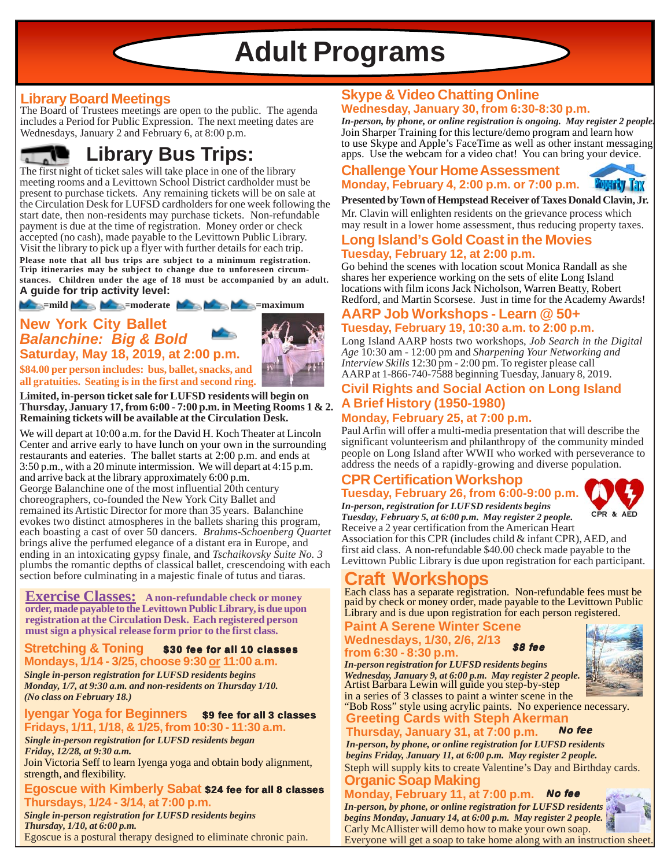## **Adult Programs**

### **Library Board Meetings**

The Board of Trustees meetings are open to the public. The agenda includes a Period for Public Expression. The next meeting dates are Wednesdays, January 2 and February 6, at 8:00 p.m.

### **Library Bus Trips:**

The first night of ticket sales will take place in one of the library meeting rooms and a Levittown School District cardholder must be present to purchase tickets. Any remaining tickets will be on sale at the Circulation Desk for LUFSD cardholders for one week following the start date, then non-residents may purchase tickets. Non-refundable payment is due at the time of registration. Money order or check accepted (no cash), made payable to the Levittown Public Library. Visit the library to pick up a flyer with further details for each trip. **Please note that all bus trips are subject to a minimum registration. Trip itineraries may be subject to change due to unforeseen circumstances. Children under the age of 18 must be accompanied by an adult. A guide for trip activity level:**

*M* ==mild  $\blacksquare$  =moderate  $\blacksquare$  ==maximum

### **New York City Ballet** *Balanchine: Big & Bold* **Saturday, May 18, 2019, at 2:00 p.m.**



**\$84.00 per person includes: bus, ballet, snacks, and all gratuities. Seating is in the first and second ring.**

**Limited, in-person ticket sale for LUFSD residents will begin on Thursday, January 17, from 6:00 - 7:00 p.m. in Meeting Rooms 1 & 2. Remaining tickets will be available at the Circulation Desk.**

We will depart at 10:00 a.m. for the David H. Koch Theater at Lincoln Center and arrive early to have lunch on your own in the surrounding restaurants and eateries. The ballet starts at 2:00 p.m. and ends at 3:50 p.m., with a 20 minute intermission. We will depart at 4:15 p.m. and arrive back at the library approximately 6:00 p.m. George Balanchine one of the most influential 20th century choreographers, co-founded the New York City Ballet and remained its Artistic Director for more than 35 years. Balanchine evokes two distinct atmospheres in the ballets sharing this program, each boasting a cast of over 50 dancers. *Brahms-Schoenberg Quartet* brings alive the perfumed elegance of a distant era in Europe, and ending in an intoxicating gypsy finale, and *Tschaikovsky Suite No. 3* plumbs the romantic depths of classical ballet, crescendoing with each section before culminating in a majestic finale of tutus and tiaras.

**Exercise Classes:** A non-refundable check or money **order, made payable to the Levittown Public Library, is due upon registration at the Circulation Desk. Each registered person must sign a physical release form prior to the first class.**

#### **Stretching & Toning Mondays, 1/14 - 3/25, choose 9:30 or 11:00 a.m.** \$30 fee for all 10 classes

*Single in-person registration for LUFSD residents begins Monday, 1/7, at 9:30 a.m. and non-residents on Thursday 1/10. (No class on February 18.)*

#### **Iyengar Yoga for Beginners Fridays, 1/11, 1/18, & 1/25, from 10:30 - 11:30 a.m.** \$9 fee for all 3 classes

*Single in-person registration for LUFSD residents began Friday, 12/28, at 9:30 a.m.*

Join Victoria Seff to learn Iyenga yoga and obtain body alignment, strength, and flexibility.

#### Egoscue with Kimberly Sabat \$24 fee for all 8 classes **Thursdays, 1/24 - 3/14, at 7:00 p.m.**

*Single in-person registration for LUFSD residents begins Thursday, 1/10, at 6:00 p.m.* Egoscue is a postural therapy designed to eliminate chronic pain.

### **Skype & Video Chatting Online Wednesday, January 30, from 6:30-8:30 p.m.**

Join Sharper Training for this lecture/demo program and learn how to use Skype and Apple's FaceTime as well as other instant messaging apps. Use the webcam for a video chat! You can bring your device. *In-person, by phone, or online registration is ongoing. May register 2 people.*

### **Challenge Your Home Assessment Monday, February 4, 2:00 p.m. or 7:00 p.m.**

**Presented by Town of Hempstead Receiver of Taxes Donald Clavin, Jr.**

Mr. Clavin will enlighten residents on the grievance process which may result in a lower home assessment, thus reducing property taxes.

### **Long Island's Gold Coast in the Movies Tuesday, February 12, at 2:00 p.m.**

Go behind the scenes with location scout Monica Randall as she shares her experience working on the sets of elite Long Island locations with film icons Jack Nicholson, Warren Beatty, Robert Redford, and Martin Scorsese. Just in time for the Academy Awards!

### **AARP Job Workshops - Learn @ 50+ Tuesday, February 19, 10:30 a.m. to 2:00 p.m.**

Long Island AARP hosts two workshops, *Job Search in the Digital Age* 10:30 am - 12:00 pm and *Sharpening Your Networking and Interview Skills* 12:30 pm - 2:00 pm. To register please call AARP at 1-866-740-7588 beginning Tuesday, January 8, 2019.

### **Civil Rights and Social Action on Long Island A Brief History (1950-1980)**

#### **Monday, February 25, at 7:00 p.m.**

Paul Arfin will offer a multi-media presentation that will describe the significant volunteerism and philanthropy of the community minded people on Long Island after WWII who worked with perseverance to address the needs of a rapidly-growing and diverse population.

### **CPR Certification Workshop Tuesday, February 26, from 6:00-9:00 p.m.**



Receive a 2 year certification from the American Heart *In-person, registration for LUFSD residents begins Tuesday, February 5, at 6:00 p.m. May register 2 people.*

Association for this CPR (includes child & infant CPR), AED, and first aid class. A non-refundable \$40.00 check made payable to the Levittown Public Library is due upon registration for each participant.

### **Craft Workshops**

Each class has a separate registration. Non-refundable fees must be paid by check or money order, made payable to the Levittown Public Library and is due upon registration for each person registered.

#### **Paint A Serene Winter Scene Wednesdays, 1/30, 2/6, 2/13**

### from 6:30 - 8:30 p.m.

Artist Barbara Lewin will guide you step-by-step in a series of 3 classes to paint a winter scene in the *In-person registration for LUFSD residents begins Wednesday, January 9, at 6:00 p.m. May register 2 people.*



**Greeting Cards with Steph Akerman Thursday, January 31, at 7:00 p.m.** No fee "Bob Ross" style using acrylic paints. No experience necessary.

Steph will supply kits to create Valentine's Day and Birthday cards. *In-person, by phone, or online registration for LUFSD residents begins Friday, January 11, at 6:00 p.m. May register 2 people.*

#### **Organic Soap Making Monday, February 11, at 7:00 p.m.** No fee

Carly McAllister will demo how to make your own soap. Everyone will get a soap to take home along with an instruction shee. *In-person, by phone, or online registration for LUFSD residents begins Monday, January 14, at 6:00 p.m. May register 2 people.*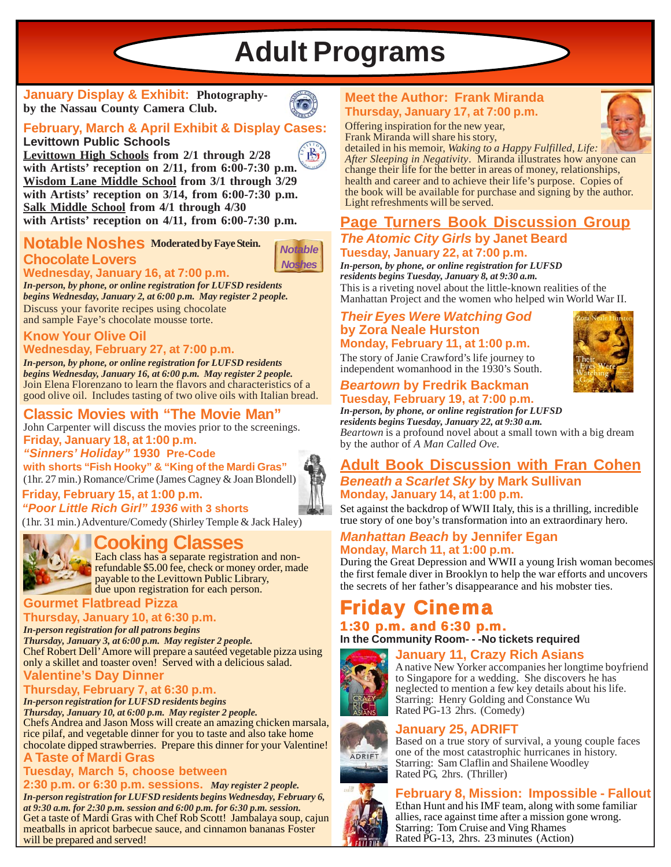**Adult Programs**

**January Display & Exhibit: Photographyby the Nassau County Camera Club.**



### **February, March & April Exhibit & Display Cases:**

**Levittown Public Schools**

**Levittown High Schools from 2/1 through 2/28 with Artists' reception on 2/11, from 6:00-7:30 p.m. Wisdom Lane Middle School from 3/1 through 3/29 with Artists' reception on 3/14, from 6:00-7:30 p.m. Salk Middle School from 4/1 through 4/30 with Artists' reception on 4/11, from 6:00-7:30 p.m.**

### **Notable Noshes Moderated by Faye Stein. Chocolate Lovers**



### **Wednesday, January 16, at 7:00 p.m.**

Discuss your favorite recipes using chocolate and sample Faye's chocolate mousse torte. *In-person, by phone, or online registration for LUFSD residents begins Wednesday, January 2, at 6:00 p.m. May register 2 people.*

#### **Know Your Olive Oil Wednesday, February 27, at 7:00 p.m.**

Join Elena Florenzano to learn the flavors and characteristics of a good olive oil. Includes tasting of two olive oils with Italian bread. *In-person, by phone, or online registration for LUFSD residents begins Wednesday, January 16, at 6:00 p.m. May register 2 people.*

### **Classic Movies with "The Movie Man"**

**Friday, January 18, at 1:00 p.m.** John Carpenter will discuss the movies prior to the screenings.

*"Sinners' Holiday"* **1930 Pre-Code**

**with shorts "Fish Hooky" & "King of the Mardi Gras"** (1hr. 27 min.) Romance/Crime (James Cagney & Joan Blondell)

#### **Friday, February 15, at 1:00 p.m.** *"Poor Little Rich Girl" 1936* **with 3 shorts**

(1hr. 31 min.) Adventure/Comedy (Shirley Temple & Jack Haley)

### **Cooking Classes**



Each class has a separate registration and nonrefundable \$5.00 fee, check or money order, made payable to the Levittown Public Library, due upon registration for each person.

### **Gourmet Flatbread Pizza**

### **Thursday, January 10, at 6:30 p.m.**

Chef Robert Dell' Amore will prepare a sautéed vegetable pizza using only a skillet and toaster oven! Served with a delicious salad. *In-person registration for all patrons begins Thursday, January 3, at 6:00 p.m. May register 2 people.*

### **Valentine's Day Dinner**

### **Thursday, February 7, at 6:30 p.m.**

*In-person registration for LUFSD residents begins Thursday, January 10, at 6:00 p.m. May register 2 people.* Chefs Andrea and Jason Moss will create an amazing chicken marsala, rice pilaf, and vegetable dinner for you to taste and also take home chocolate dipped strawberries. Prepare this dinner for your Valentine!

### **A Taste of Mardi Gras**

### **Tuesday, March 5, choose between**

**2:30 p.m. or 6:30 p.m. sessions.** *May register 2 people. In-person registration for LUFSD residents begins Wednesday, February 6, at 9:30 a.m. for 2:30 p.m. session and 6:00 p.m. for 6:30 p.m. session.* Get a taste of Mardi Gras with Chef Rob Scott! Jambalaya soup, cajun meatballs in apricot barbecue sauce, and cinnamon bananas Foster will be prepared and served!

### **Meet the Author: Frank Miranda Thursday, January 17, at 7:00 p.m.**

Offering inspiration for the new year, Frank Miranda will share his story,

detailed in his memoir, *Waking to a Happy Fulfilled, Life: After Sleeping in Negativity*. Miranda illustrates how anyone can change their life for the better in areas of money, relationships, health and career and to achieve their life's purpose. Copies of the book will be available for purchase and signing by the author. Light refreshments will be served.

### **Page Turners Book Discussion Group** *The Atomic City Girls* **by Janet Beard**

### **Tuesday, January 22, at 7:00 p.m.**

This is a riveting novel about the little-known realities of the Manhattan Project and the women who helped win World War II. *In-person, by phone, or online registration for LUFSD residents begins Tuesday, January 8, at 9:30 a.m.*

#### *Their Eyes Were Watching God* **by Zora Neale Hurston Monday, February 11, at 1:00 p.m.**

The story of Janie Crawford's life journey to independent womanhood in the 1930's South.

#### *Beartown* **by Fredrik Backman Tuesday, February 19, at 7:00 p.m.**

*Beartown* is a profound novel about a small town with a big dream by the author of *A Man Called Ove. In-person, by phone, or online registration for LUFSD residents begins Tuesday, January 22, at 9:30 a.m.*

### **Adult Book Discussion with Fran Cohen** *Beneath a Scarlet Sky* **by Mark Sullivan Monday, January 14, at 1:00 p.m.**

Set against the backdrop of WWII Italy, this is a thrilling, incredible true story of one boy's transformation into an extraordinary hero.

#### *Manhattan Beach* **by Jennifer Egan Monday, March 11, at 1:00 p.m.**

During the Great Depression and WWII a young Irish woman becomes the first female diver in Brooklyn to help the war efforts and uncovers the secrets of her father's disappearance and his mobster ties.

### **Cinema**

#### 1:30 p.m. and  $6:30$  p.m. **In the Community Room- - -No tickets required**

### **January 11, Crazy Rich Asians**



A native New Yorker accompanies her longtime boyfriend to Singapore for a wedding. She discovers he has neglected to mention a few key details about his life. Starring: Henry Golding and Constance Wu Rated PG-13 2hrs. (Comedy)

# ADRIFT







### **February 8, Mission: Impossible - Fallout**

Ethan Hunt and his IMF team, along with some familiar allies, race against time after a mission gone wrong. Starring: Tom Cruise and Ving Rhames Rated PG-13, 2hrs. 23 minutes (Action)





 $B^*$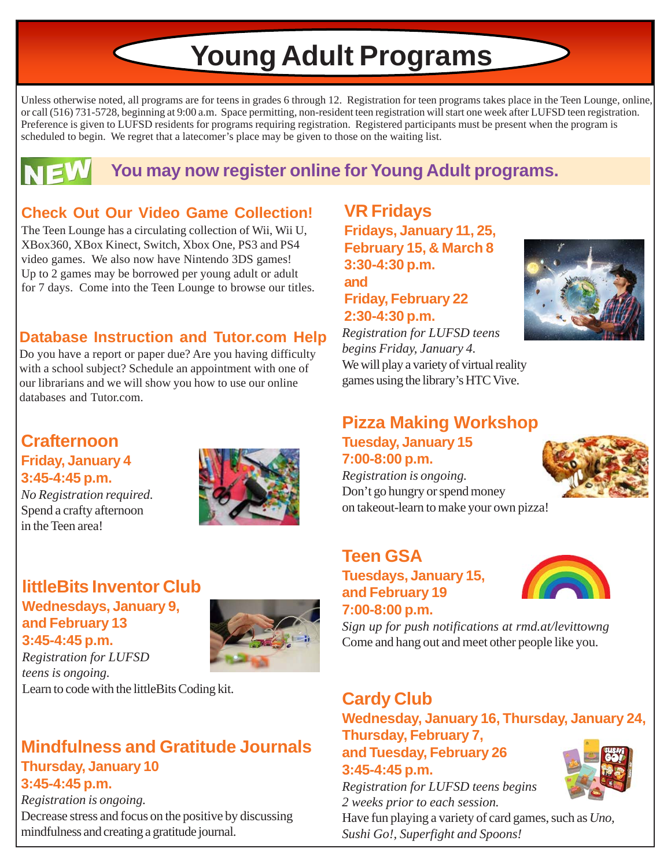# **Young Adult Programs**

Unless otherwise noted, all programs are for teens in grades 6 through 12. Registration for teen programs takes place in the Teen Lounge, online, or call (516) 731-5728, beginning at 9:00 a.m. Space permitting, non-resident teen registration will start one week after LUFSD teen registration. Preference is given to LUFSD residents for programs requiring registration. Registered participants must be present when the program is scheduled to begin. We regret that a latecomer's place may be given to those on the waiting list.



### **You may now register online for Young Adult programs.**

### **Check Out Our Video Game Collection!**

The Teen Lounge has a circulating collection of Wii, Wii U, XBox360, XBox Kinect, Switch, Xbox One, PS3 and PS4 video games. We also now have Nintendo 3DS games! Up to 2 games may be borrowed per young adult or adult for 7 days. Come into the Teen Lounge to browse our titles.

### **Database Instruction and Tutor.com Help**

Do you have a report or paper due? Are you having difficulty with a school subject? Schedule an appointment with one of our librarians and we will show you how to use our online databases and Tutor.com

### **Crafternoon Friday, January 4 3:45-4:45 p.m.**

*No Registration required.* Spend a crafty afternoon in the Teen area!



### **littleBits Inventor Club Wednesdays, January 9, and February 13 3:45-4:45 p.m.**



*Registration for LUFSD teens is ongoing.* Learn to code with the littleBits Coding kit.

### **Mindfulness and Gratitude Journals Thursday, January 10 3:45-4:45 p.m.**

*Registration is ongoing.* Decrease stress and focus on the positive by discussing mindfulness and creating a gratitude journal.

**VR Fridays Fridays, January 11, 25, February 15, & March 8 3:30-4:30 p.m. and Friday, February 22**

### **2:30-4:30 p.m.**

*Registration for LUFSD teens begins Friday, January 4.* We will play a variety of virtual reality games using the library's HTC Vive.



### **Pizza Making Workshop Tuesday, January 15 7:00-8:00 p.m.**

*Registration is ongoing.* Don't go hungry or spend money on takeout-learn to make your own pizza!



### **Teen GSA Tuesdays, January 15, and February 19 7:00-8:00 p.m.**



*Sign up for push notifications at rmd.at/levittowng* Come and hang out and meet other people like you.

## **Cardy Club**

**Wednesday, January 16, Thursday, January 24, Thursday, February 7,**

**and Tuesday, February 26 3:45-4:45 p.m.**

*Registration for LUFSD teens begins 2 weeks prior to each session.*

Have fun playing a variety of card games, such as *Uno, Sushi Go!, Superfight and Spoons!*

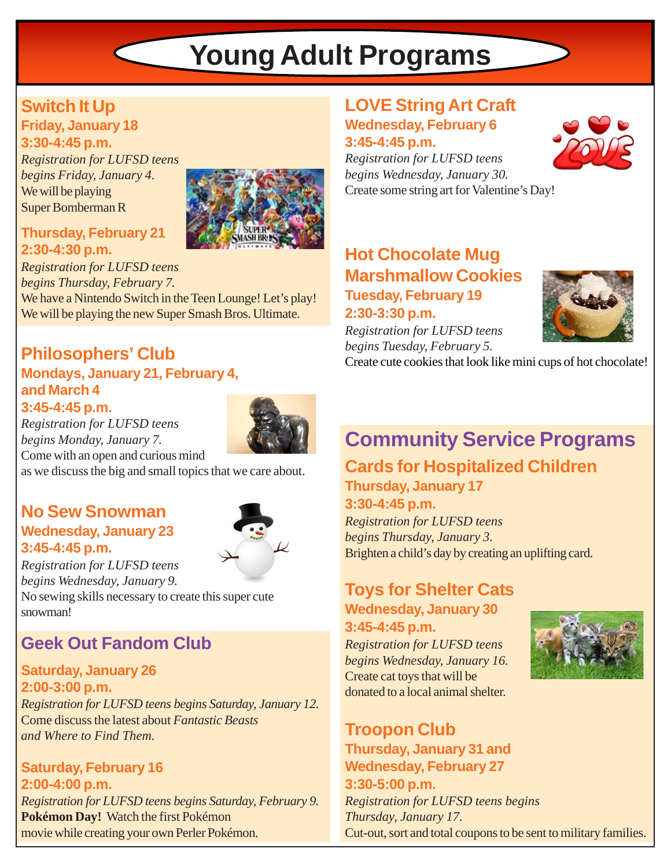# **Young Adult Programs**

### **Switch It Up**

**Friday, January 18 3:30-4:45 p.m.**

*Registration for LUFSD teens begins Friday, January 4.* We will be playing Super Bomberman R



### **Thursday, February 21 2:30-4:30 p.m.**

*Registration for LUFSD teens begins Thursday, February 7.* We have a Nintendo Switch in the Teen Lounge! Let's play! We will be playing the new Super Smash Bros. Ultimate.

### **Philosophers' Club Mondays, January 21, February 4, and March 4 3:45-4:45 p.m.**

*Registration for LUFSD teens begins Monday, January 7.* Come with an open and curious mind

as we discuss the big and small topics that we care about.

### **No Sew Snowman Wednesday, January 23 3:45-4:45 p.m.**



*Registration for LUFSD teens begins Wednesday, January 9.*

No sewing skills necessary to create this super cute snowman!

### **Geek Out Fandom Club**

### **Saturday, January 26 2:00-3:00 p.m.**

*Registration for LUFSD teens begins Saturday, January 12.* Come discuss the latest about *Fantastic Beasts and Where to Find Them.*

### **Saturday, February 16 2:00-4:00 p.m.** *Registration for LUFSD teens begins Saturday, February 9.* **Pokémon Day!** Watch the first Pokémon movie while creating your own Perler Pokémon.

### **LOVE String Art Craft Wednesday, February 6**



*Registration for LUFSD teens begins Wednesday, January 30.* Create some string art for Valentine's Day!

### **Hot Chocolate Mug Marshmallow Cookies Tuesday, February 19**

**2:30-3:30 p.m.** *Registration for LUFSD teens begins Tuesday, February 5.*



Create cute cookies that look like mini cups of hot chocolate!

## **Community Service Programs**

### **Cards for Hospitalized Children**

**Thursday, January 17**

**3:30-4:45 p.m.**

*Registration for LUFSD teens begins Thursday, January 3.* Brighten a child's day by creating an uplifting card.

### **Toys for Shelter Cats Wednesday, January 30**

**3:45-4:45 p.m.**

*Registration for LUFSD teens begins Wednesday, January 16.* Create cat toys that will be donated to a local animal shelter.



**Troopon Club Thursday, January 31 and Wednesday, February 27 3:30-5:00 p.m.** *Registration for LUFSD teens begins Thursday, January 17.* Cut-out, sort and total coupons to be sent to military families.

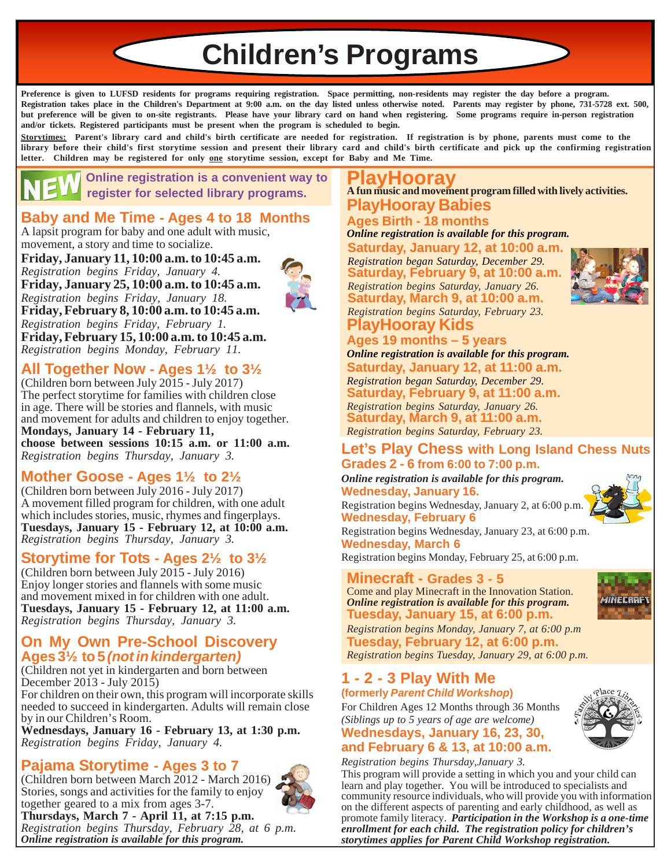**Children's Programs**

**Preference is given to LUFSD residents for programs requiring registration. Space permitting, non-residents may register the day before a program. Registration takes place in the Children's Department at 9:00 a.m. on the day listed unless otherwise noted. Parents may register by phone, 731-5728 ext. 500, but preference will be given to on-site registrants. Please have your library card on hand when registering. Some programs require in-person registration and/or tickets. Registered participants must be present when the program is scheduled to begin.**

**Storytimes: Parent's library card and child's birth certificate are needed for registration. If registration is by phone, parents must come to the library before their child's first storytime session and present their library card and child's birth certificate and pick up the confirming registration letter. Children may be registered for only one storytime session, except for Baby and Me Time.**

 **Online registration is a convenient way to register for selected library programs.**

### **Baby and Me Time - Ages 4 to 18 Months**

A lapsit program for baby and one adult with music, movement, a story and time to socialize.

### **Friday, January 11, 10:00 a.m. to 10:45 a.m.** *Registration begins Friday, January 4.* **Friday, January 25, 10:00 a.m. to 10:45 a.m.**



*Registration begins Friday, January 18.* **Friday, February 8, 10:00 a.m. to 10:45 a.m.** *Registration begins Friday, February 1.* **Friday, February 15, 10:00 a.m. to 10:45 a.m.** *Registration begins Monday, February 11.*

### **All Together Now - Ages 1½ to 3½**

(Children born between July 2015 - July 2017) The perfect storytime for families with children close in age. There will be stories and flannels, with music and movement for adults and children to enjoy together. **Mondays, January 14 - February 11, choose between sessions 10:15 a.m. or 11:00 a.m.** *Registration begins Thursday, January 3.*

### **Mother Goose - Ages 1½ to 2½**

(Children born between July 2016 - July 2017) A movement filled program for children, with one adult which includes stories, music, rhymes and fingerplays. **Tuesdays, January 15 - February 12, at 10:00 a.m.** *Registration begins Thursday, January 3.*

### **Storytime for Tots - Ages 2½ to 3½**

(Children born between July 2015 - July 2016) Enjoy longer stories and flannels with some music and movement mixed in for children with one adult. **Tuesdays, January 15 - February 12, at 11:00 a.m.** *Registration begins Thursday, January 3.*

### **On My Own Pre-School Discovery Ages 3½ to 5** *(not in kindergarten)*

(Children not yet in kindergarten and born between December 2013 - July 2015) For children on their own, this program will incorporate skills

needed to succeed in kindergarten. Adults will remain close by in our Children's Room.

**Wednesdays, January 16 - February 13, at 1:30 p.m.** *Registration begins Friday, January 4.*

### **Pajama Storytime - Ages 3 to 7**

(Children born between March 2012 - March 2016) Stories, songs and activities for the family to enjoy together geared to a mix from ages 3-7. **Thursdays, March 7 - April 11, at 7:15 p.m.** *Registration begins Thursday, February 28, at 6 p.m. Online registration is available for this program.*

#### **PlayHooray Babies A fun music and movement program filled with lively activities. PlayHooray**

### **Ages Birth - 18 months**

*Online registration is available for this program.*

**Saturday, January 12, at 10:00 a.m.** *Registration began Saturday, December 29.* **Saturday, February 9, at 10:00 a.m.** *Registration begins Saturday, January 26.* **Saturday, March 9, at 10:00 a.m.** *Registration begins Saturday, February 23.*



### **PlayHooray Kids**

**Ages 19 months – 5 years Saturday, January 12, at 11:00 a.m.** *Registration began Saturday, December 29.* **Saturday, February 9, at 11:00 a.m.** *Registration begins Saturday, January 26.* **Saturday, March 9, at 11:00 a.m.** *Registration begins Saturday, February 23. Online registration is available for this program.*

### **Let's Play Chess with Long Island Chess Nuts Grades 2 - 6 from 6:00 to 7:00 p.m.**

*Online registration is available for this program.* **Wednesday, January 16.**

Registration begins Wednesday, January 2, at 6:00 p.m. **Wednesday, February 6**

Registration begins Wednesday, January 23, at 6:00 p.m. **Wednesday, March 6**

Registration begins Monday, February 25, at 6:00 p.m.

### **Minecraft - Grades 3 - 5**

Come and play Minecraft in the Innovation Station. *Online registration is available for this program.* **Tuesday, January 15, at 6:00 p.m.**





*Registration begins Monday, January 7, at 6:00 p.m* **Tuesday, February 12, at 6:00 p.m.** *Registration begins Tuesday, January 29, at 6:00 p.m.*

#### **1 - 2 - 3 Play With Me (formerly** *Parent Child Workshop***)**

For Children Ages 12 Months through 36 Months *(Siblings up to 5 years of age are welcome)*

#### **Wednesdays, January 16, 23, 30, and February 6 & 13, at 10:00 a.m.**

*Registration begins Thursday,January 3.*

This program will provide a setting in which you and your child can learn and play together. You will be introduced to specialists and community resource individuals, who will provide you with information on the different aspects of parenting and early childhood, as well as promote family literacy. *Participation in the Workshop is a one-time enrollment for each child.**The registration policy for children's storytimes applies for Parent Child Workshop registration.*

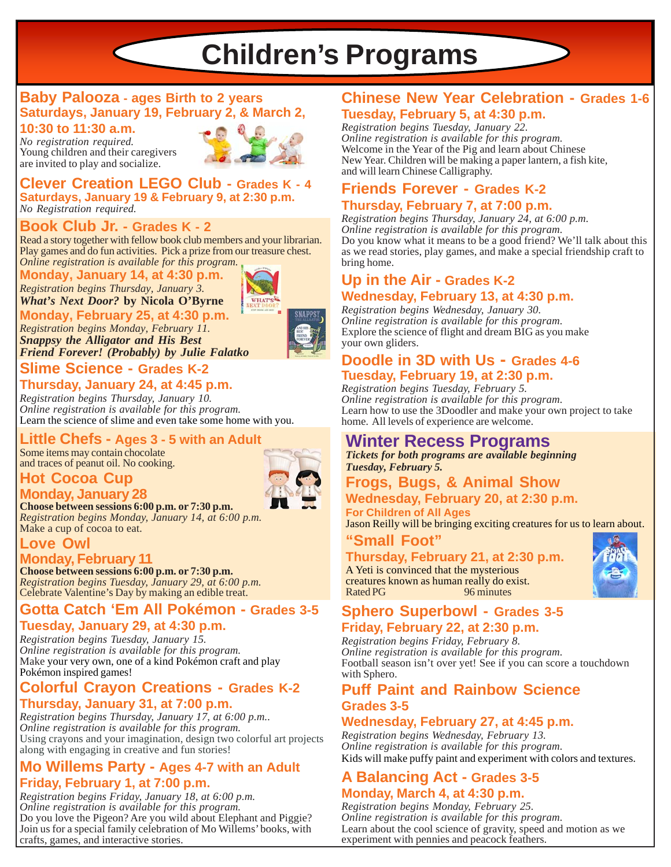# **Children's Programs**

### **Baby Palooza - ages Birth to 2 years Saturdays, January 19, February 2, & March 2, 10:30 to 11:30 a.m.**

*No registration required.* Young children and their caregivers are invited to play and socialize.



**WHAT'S** 

**Clever Creation LEGO Club - Grades K - 4 Saturdays, January 19 & February 9, at 2:30 p.m.** *No Registration required.*

### **Book Club Jr. - Grades K - 2**

*Online registration is available for this program.* Read a story together with fellow book club members and your librarian. Play games and do fun activities. Pick a prize from our treasure chest.

### **Monday, January 14, at 4:30 p.m.**

*Registration begins Thursday, January 3.*

### *What's Next Door?* **by Nicola O'Byrne**

**Monday, February 25, at 4:30 p.m.** *Registration begins Monday, February 11. Snappsy the Alligator and His Best Friend Forever! (Probably) by Julie Falatko*

### **Slime Science - Grades K-2**

### **Thursday, January 24, at 4:45 p.m.**

*Registration begins Thursday, January 10. Online registration is available for this program.* Learn the science of slime and even take some home with you.

### **Little Chefs - Ages 3 - 5 with an Adult**

Some items may contain chocolate and traces of peanut oil. No cooking.

### **Hot Cocoa Cup**



### **Monday, January 28**

**Choose between sessions 6:00 p.m. or 7:30 p.m.** *Registration begins Monday, January 14, at 6:00 p.m.* Make a cup of cocoa to eat.

### **Love Owl**

### **Monday, February 11**

**Choose between sessions 6:00 p.m. or 7:30 p.m.** *Registration begins Tuesday, January 29, at 6:00 p.m.* Celebrate Valentine's Day by making an edible treat.

### **Gotta Catch 'Em All Pokémon - Grades 3-5**

### **Tuesday, January 29, at 4:30 p.m.**

*Registration begins Tuesday, January 15. Online registration is available for this program.* Make your very own, one of a kind Pokémon craft and play Pokémon inspired games!

### **Colorful Crayon Creations - Grades K-2 Thursday, January 31, at 7:00 p.m.**

*Registration begins Thursday, January 17, at 6:00 p.m.. Online registration is available for this program.* Using crayons and your imagination, design two colorful art projects along with engaging in creative and fun stories!

### **Mo Willems Party - Ages 4-7 with an Adult Friday, February 1, at 7:00 p.m.**

*Registration begins Friday, January 18, at 6:00 p.m. Online registration is available for this program.* Do you love the Pigeon? Are you wild about Elephant and Piggie? Join us for a special family celebration of Mo Willems' books, with crafts, games, and interactive stories.

### **Chinese New Year Celebration - Grades 1-6 Tuesday, February 5, at 4:30 p.m.**

*Registration begins Tuesday, January 22. Online registration is available for this program.* Welcome in the Year of the Pig and learn about Chinese New Year. Children will be making a paper lantern, a fish kite, and will learn Chinese Calligraphy.

### **Friends Forever - Grades K-2**

### **Thursday, February 7, at 7:00 p.m.**

*Registration begins Thursday, January 24, at 6:00 p.m. Online registration is available for this program.* Do you know what it means to be a good friend? We'll talk about this as we read stories, play games, and make a special friendship craft to bring home.

### **Up in the Air - Grades K-2 Wednesday, February 13, at 4:30 p.m.**

*Registration begins Wednesday, January 30. Online registration is available for this program.* Explore the science of flight and dream BIG as you make your own gliders.

### **Doodle in 3D with Us - Grades 4-6 Tuesday, February 19, at 2:30 p.m.**

*Registration begins Tuesday, February 5. Online registration is available for this program.* Learn how to use the 3Doodler and make your own project to take home. All levels of experience are welcome.

### **Winter Recess Programs**

*Tickets for both programs are available beginning Tuesday, February 5.*

## **Frogs, Bugs, & Animal Show**

**Wednesday, February 20, at 2:30 p.m. For Children of All Ages**

Jason Reilly will be bringing exciting creatures for us to learn about.

### **"Small Foot"**

**Thursday, February 21, at 2:30 p.m.** A Yeti is convinced that the mysterious creatures known as human really do exist.



### **Sphero Superbowl - Grades 3-5** Rated PG 96 minutes

### **Friday, February 22, at 2:30 p.m.**

*Registration begins Friday, February 8. Online registration is available for this program.* Football season isn't over yet! See if you can score a touchdown with Sphero.

### **Puff Paint and Rainbow Science Grades 3-5**

### **Wednesday, February 27, at 4:45 p.m.**

*Registration begins Wednesday, February 13. Online registration is available for this program.* Kids will make puffy paint and experiment with colors and textures.

### **A Balancing Act - Grades 3-5 Monday, March 4, at 4:30 p.m.**

*Registration begins Monday, February 25. Online registration is available for this program.* Learn about the cool science of gravity, speed and motion as we experiment with pennies and peacock feathers.